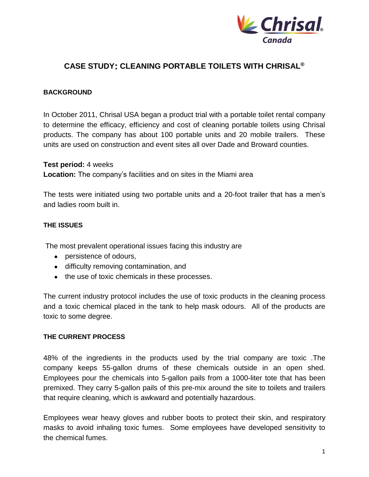

### **CASE STUDY: CLEANING PORTABLE TOILETS WITH CHRISAL®**

#### **BACKGROUND**

In October 2011, Chrisal USA began a product trial with a portable toilet rental company to determine the efficacy, efficiency and cost of cleaning portable toilets using Chrisal products. The company has about 100 portable units and 20 mobile trailers. These units are used on construction and event sites all over Dade and Broward counties.

#### **Test period:** 4 weeks

**Location:** The company's facilities and on sites in the Miami area

The tests were initiated using two portable units and a 20-foot trailer that has a men's and ladies room built in.

### **THE ISSUES**

The most prevalent operational issues facing this industry are

- persistence of odours,
- difficulty removing contamination, and
- the use of toxic chemicals in these processes.

The current industry protocol includes the use of toxic products in the cleaning process and a toxic chemical placed in the tank to help mask odours. All of the products are toxic to some degree.

#### **THE CURRENT PROCESS**

48% of the ingredients in the products used by the trial company are toxic .The company keeps 55-gallon drums of these chemicals outside in an open shed. Employees pour the chemicals into 5-gallon pails from a 1000-liter tote that has been premixed. They carry 5-gallon pails of this pre-mix around the site to toilets and trailers that require cleaning, which is awkward and potentially hazardous.

Employees wear heavy gloves and rubber boots to protect their skin, and respiratory masks to avoid inhaling toxic fumes. Some employees have developed sensitivity to the chemical fumes.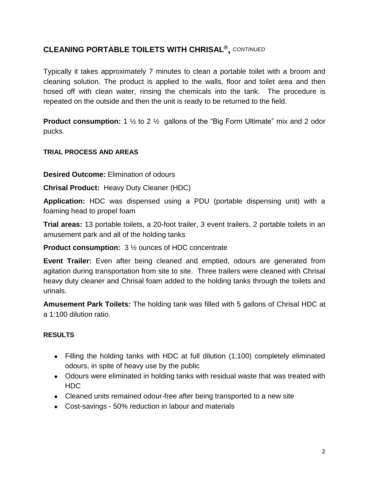Typically it takes approximately 7 minutes to clean a portable toilet with a broom and cleaning solution. The product is applied to the walls, floor and toilet area and then hosed off with clean water, rinsing the chemicals into the tank. The procedure is repeated on the outside and then the unit is ready to be returned to the field.

**Product consumption:** 1 <sup>1</sup>/<sub>2</sub> to 2 <sup>1</sup>/<sub>2</sub> gallons of the "Big Form Ultimate" mix and 2 odor pucks.

### **TRIAL PROCESS AND AREAS**

**Desired Outcome:** Elimination of odours

**Chrisal Product:** Heavy Duty Cleaner (HDC)

**Application:** HDC was dispensed using a PDU (portable dispensing unit) with a foaming head to propel foam

**Trial areas:** 13 portable toilets, a 20-foot trailer, 3 event trailers, 2 portable toilets in an amusement park and all of the holding tanks

**Product consumption:** 3 ½ ounces of HDC concentrate

**Event Trailer:** Even after being cleaned and emptied, odours are generated from agitation during transportation from site to site. Three trailers were cleaned with Chrisal heavy duty cleaner and Chrisal foam added to the holding tanks through the toilets and urinals.

**Amusement Park Toilets:** The holding tank was filled with 5 gallons of Chrisal HDC at a 1:100 dilution ratio.

### **RESULTS**

- Filling the holding tanks with HDC at full dilution (1:100) completely eliminated odours, in spite of heavy use by the public
- Odours were eliminated in holding tanks with residual waste that was treated with HDC
- Cleaned units remained odour-free after being transported to a new site
- Cost-savings 50% reduction in labour and materials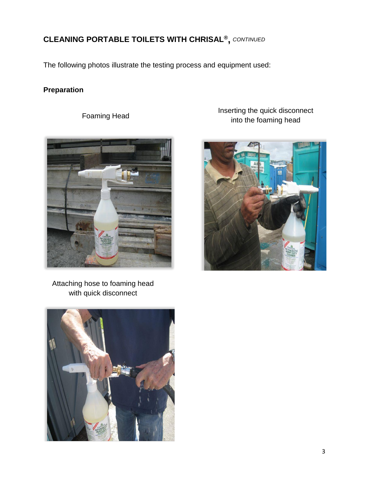The following photos illustrate the testing process and equipment used:

### **Preparation**



Attaching hose to foaming head with quick disconnect



Inserting the quick disconnect Foaming Head Foaming Head Foaming Head Foaming Head Foaming Head Foaming Head For the foaming head Formula Intervention of the foaming  $\frac{1}{2}$  Formula Intervention of the foaming head

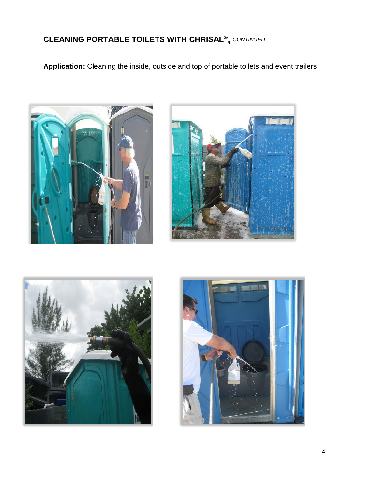**Application:** Cleaning the inside, outside and top of portable toilets and event trailers







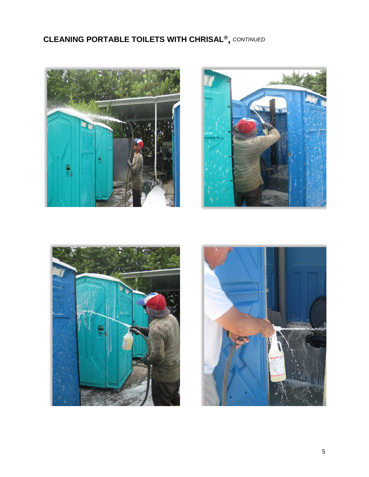